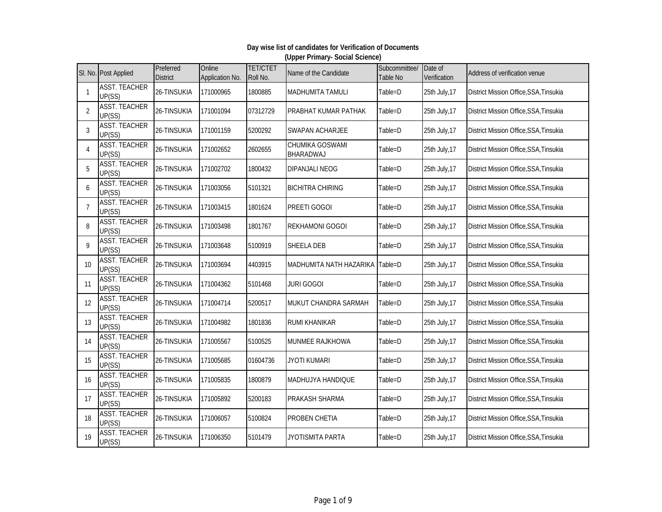|                           | SI. No. Post Applied           | Preferred<br><b>District</b> | Online<br>Application No. | <b>TET/CTET</b><br>Roll No. | Name of the Candidate               | Subcommittee/<br>Table No | Date of<br>Verification | Address of verification venue          |
|---------------------------|--------------------------------|------------------------------|---------------------------|-----------------------------|-------------------------------------|---------------------------|-------------------------|----------------------------------------|
| $\mathbf{1}$              | <b>ASST. TEACHER</b><br>UP(SS) | 26-TINSUKIA                  | 171000965                 | 1800885                     | <b>MADHUMITA TAMULI</b>             | Table=D                   | 25th July, 17           | District Mission Office, SSA, Tinsukia |
| $\overline{2}$            | <b>ASST. TEACHER</b><br>UP(SS) | 26-TINSUKIA                  | 171001094                 | 07312729                    | <b>PRABHAT KUMAR PATHAK</b>         | Table=D                   | 25th July, 17           | District Mission Office, SSA, Tinsukia |
| 3                         | <b>ASST. TEACHER</b><br>UP(SS) | 26-TINSUKIA                  | 171001159                 | 5200292                     | SWAPAN ACHARJEE                     | Table=D                   | 25th July, 17           | District Mission Office, SSA, Tinsukia |
| $\boldsymbol{\varLambda}$ | <b>ASST. TEACHER</b><br>UP(SS) | 26-TINSUKIA                  | 171002652                 | 2602655                     | <b>CHUMIKA GOSWAMI</b><br>BHARADWAJ | Table=D                   | 25th July, 17           | District Mission Office, SSA, Tinsukia |
| 5                         | <b>ASST. TEACHER</b><br>UP(SS) | 26-TINSUKIA                  | 171002702                 | 1800432                     | <b>DIPANJALI NEOG</b>               | Table=D                   | 25th July, 17           | District Mission Office, SSA, Tinsukia |
| 6                         | <b>ASST. TEACHER</b><br>UP(SS) | 26-TINSUKIA                  | 171003056                 | 5101321                     | <b>BICHITRA CHIRING</b>             | Table=D                   | 25th July, 17           | District Mission Office, SSA, Tinsukia |
| $\overline{7}$            | <b>ASST. TEACHER</b><br>UP(SS) | 26-TINSUKIA                  | 171003415                 | 1801624                     | PREETI GOGOI                        | Table=D                   | 25th July, 17           | District Mission Office, SSA, Tinsukia |
| 8                         | <b>ASST. TEACHER</b><br>UP(SS) | 26-TINSUKIA                  | 171003498                 | 1801767                     | <b>REKHAMONI GOGOI</b>              | Table=D                   | 25th July, 17           | District Mission Office, SSA, Tinsukia |
| q                         | <b>ASST. TEACHER</b><br>UP(SS) | 26-TINSUKIA                  | 171003648                 | 5100919                     | <b>SHEELA DEB</b>                   | Table=D                   | 25th July, 17           | District Mission Office, SSA, Tinsukia |
| 10                        | <b>ASST. TEACHER</b><br>UP(SS) | 26-TINSUKIA                  | 171003694                 | 4403915                     | <b>MADHUMITA NATH HAZARIKA</b>      | Table=D                   | 25th July, 17           | District Mission Office, SSA, Tinsukia |
| 11                        | <b>ASST. TEACHER</b><br>UP(SS) | 26-TINSUKIA                  | 171004362                 | 5101468                     | <b>JURI GOGOI</b>                   | Table=D                   | 25th July, 17           | District Mission Office, SSA, Tinsukia |
| 12                        | <b>ASST. TEACHER</b><br>UP(SS) | 26-TINSUKIA                  | 171004714                 | 5200517                     | MUKUT CHANDRA SARMAH                | Table=D                   | 25th July, 17           | District Mission Office, SSA, Tinsukia |
| 13                        | <b>ASST. TEACHER</b><br>UP(SS) | 26-TINSUKIA                  | 171004982                 | 1801836                     | <b>RUMI KHANIKAR</b>                | Table=D                   | 25th July, 17           | District Mission Office, SSA, Tinsukia |
| 14                        | <b>ASST. TEACHER</b><br>UP(SS) | 26-TINSUKIA                  | 171005567                 | 5100525                     | MUNMEE RAJKHOWA                     | Table=D                   | 25th July, 17           | District Mission Office, SSA, Tinsukia |
| 15                        | <b>ASST. TEACHER</b><br>UP(SS) | 26-TINSUKIA                  | 171005685                 | 01604736                    | <b>JYOTI KUMARI</b>                 | Table=D                   | 25th July, 17           | District Mission Office, SSA, Tinsukia |
| 16                        | <b>ASST. TEACHER</b><br>UP(SS) | 26-TINSUKIA                  | 171005835                 | 1800879                     | <b>MADHUJYA HANDIQUE</b>            | Table=D                   | 25th July, 17           | District Mission Office, SSA, Tinsukia |
| 17                        | <b>ASST. TEACHER</b><br>UP(SS) | 26-TINSUKIA                  | 171005892                 | 5200183                     | PRAKASH SHARMA                      | Table=D                   | 25th July, 17           | District Mission Office, SSA, Tinsukia |
| 18                        | <b>ASST. TEACHER</b><br>UP(SS) | 26-TINSUKIA                  | 171006057                 | 5100824                     | PROBEN CHETIA                       | Table=D                   | 25th July, 17           | District Mission Office, SSA, Tinsukia |
| 19                        | <b>ASST. TEACHER</b><br>UP(SS) | 26-TINSUKIA                  | 171006350                 | 5101479                     | <b>JYOTISMITA PARTA</b>             | Table=D                   | 25th July, 17           | District Mission Office, SSA, Tinsukia |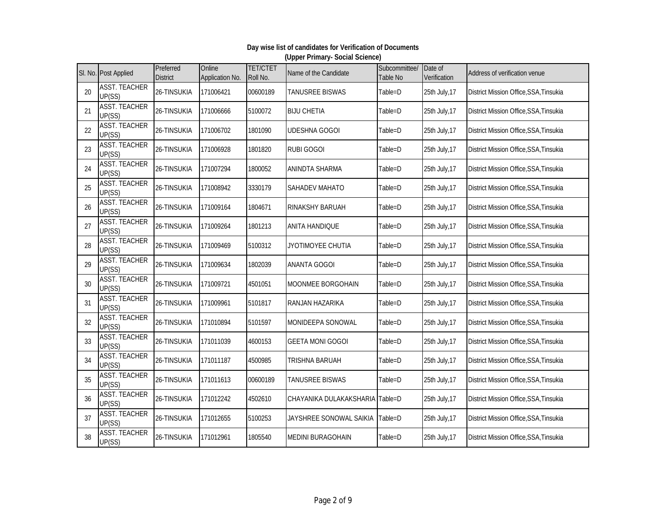#### SI. No. Post Applied Preferred **District Online** Application No. TET/CTET TET/CTET Name of the Candidate Subcommittee/<br>Roll No. Table No Table No Date of Date of **Address of verification venue** 20 ASST. TEACHER NUSTRENDITEN 26-TINSUKIA 171006421 00600189 TANUSREE BISWAS Table=D 25th July,17 District Mission Office,SSA,Tinsukia<br>UP(SS) 21 ASST. TEACHER UP(SS) 26-TINSUKIA <sup>171006666</sup> <sup>5100072</sup> BIJU CHETIA Table=D 25th July,17 District Mission Office,SSA,Tinsukia 22 ASST. TEACHER NSST: LENSTENNEN 26-TINSUKIA 171006702 1801090 UDESHNA-GOGOI Table=D 25th July,17 District Mission Office,SSA,Tinsukia<br>UP(SS) 23 **ASST. TEACHER** UP(SS) 26-TINSUKIA <sup>171006928</sup> <sup>1801820</sup> RUBI GOGOI Table=D 25th July,17 District Mission Office,SSA,Tinsukia 24 ASST. TEACHER<br>UP(SS) NUST: LENUTLEN 26-TINSUKIA 171007294 1800052 ANINDTA SHARMA Table=D 25th July,17 District Mission Office,SSA,Tinsukia<br>UP(SS) 25 ASST. TEACHER UP(SS) 26-TINSUKIA <sup>171008942</sup> <sup>3330179</sup> SAHADEV MAHATO Table=D 25th July,17 District Mission Office,SSA,Tinsukia 26 ASST. TEACHER UP(SS) 26-TINSUKIA <sup>171009164</sup> <sup>1804671</sup> RINAKSHY BARUAH Table=D 25th July,17 District Mission Office,SSA,Tinsukia 27 ASST. TEACHER NUST: LENUTLEN 26-TINSUKIA 171009264 1801213 ANITA HANDIQUE Table=D 25th July,17 District Mission Office,SSA,Tinsukia<br>UP(SS) 28 ASST. TEACHER UP(SS) 26-TINSUKIA <sup>171009469</sup> <sup>5100312</sup> JYOTIMOYEE CHUTIA Table=D 25th July,17 District Mission Office,SSA,Tinsukia 29 ASST. TEACHER UP(SS) 26-TINSUKIA <sup>171009634</sup> <sup>1802039</sup> ANANTA GOGOI Table=D 25th July,17 District Mission Office,SSA,Tinsukia 30 ASST. TEACHER<br>UP(SS) UP(SS) 26-TINSUKIA <sup>171009721</sup> <sup>4501051</sup> MOONMEE BORGOHAIN Table=D 25th July,17 District Mission Office,SSA,Tinsukia 31 ASST. TEACHER<br>UP(SS) UP(SS) 26-TINSUKIA <sup>171009961</sup> <sup>5101817</sup> RANJAN HAZARIKA Table=D 25th July,17 District Mission Office,SSA,Tinsukia 32 ASST. TEACHER<br>UP(SS) UP(SS) 26-TINSUKIA <sup>171010894</sup> <sup>5101597</sup> MONIDEEPA SONOWAL Table=D 25th July,17 District Mission Office,SSA,Tinsukia 33 ASST. TEACHER UP(SS) 26-TINSUKIA <sup>171011039</sup> <sup>4600153</sup> GEETA MONI GOGOI Table=D 25th July,17 District Mission Office,SSA,Tinsukia 34 ASST. TEACHER UP(SS) 26-TINSUKIA <sup>171011187</sup> <sup>4500985</sup> TRISHNA BARUAH Table=D 25th July,17 District Mission Office,SSA,Tinsukia 35 ASST. TEACHER<br>UP(SS) UP(SS) 26-TINSUKIA <sup>171011613</sup> <sup>00600189</sup> TANUSREE BISWAS Table=D 25th July,17 District Mission Office,SSA,Tinsukia 36 ASST. TEACHER UP(SS) 26-TINSUKIA <sup>171012242</sup> <sup>4502610</sup> CHAYANIKA DULAKAKSHARIA Table=D 25th July,17 District Mission Office,SSA,Tinsukia 37 ASST. TEACHER NUSI: LENUTEN 26-TINSUKIA 171012655 5100253 JAYSHREE SONOWAL SAIKIA Table=D 25th July,17 District Mission Office,SSA,Tinsukia<br>UP(SS) 38 ASST. TEACHER UP(SS) 26-TINSUKIA <sup>171012961</sup> <sup>1805540</sup> MEDINI BURAGOHAIN Table=D 25th July,17 District Mission Office,SSA,Tinsukia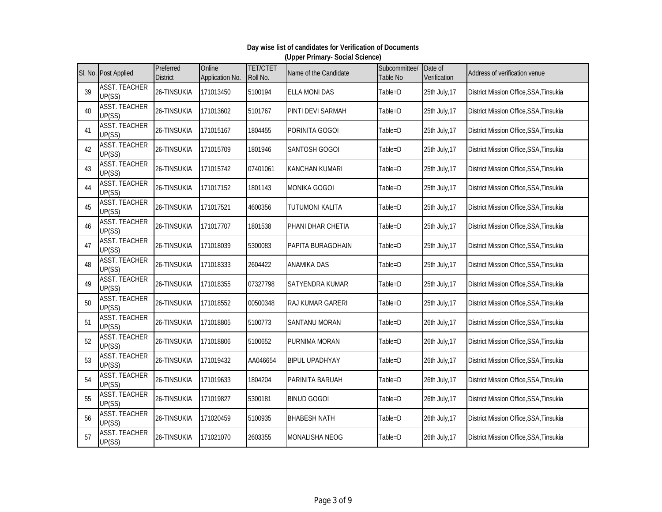|    | SI. No. Post Applied           | Preferred<br><b>District</b> | Online<br>Application No. | <b>TET/CTET</b><br>Roll No. | Name of the Candidate    | Subcommittee/<br>Table No | Date of<br>Verification | Address of verification venue          |
|----|--------------------------------|------------------------------|---------------------------|-----------------------------|--------------------------|---------------------------|-------------------------|----------------------------------------|
| 39 | <b>ASST. TEACHER</b><br>UP(SS) | 26-TINSUKIA                  | 171013450                 | 5100194                     | <b>ELLA MONI DAS</b>     | Table=D                   | 25th July, 17           | District Mission Office, SSA, Tinsukia |
| 40 | <b>ASST. TEACHER</b><br>UP(SS) | 26-TINSUKIA                  | 171013602                 | 5101767                     | PINTI DEVI SARMAH        | Table=D                   | 25th July, 17           | District Mission Office, SSA, Tinsukia |
| 41 | <b>ASST. TEACHER</b><br>UP(SS) | 26-TINSUKIA                  | 171015167                 | 1804455                     | PORINITA GOGOI           | Table=D                   | 25th July, 17           | District Mission Office, SSA, Tinsukia |
| 42 | <b>ASST. TEACHER</b><br>UP(SS) | 26-TINSUKIA                  | 171015709                 | 1801946                     | <b>SANTOSH GOGOI</b>     | Table=D                   | 25th July, 17           | District Mission Office, SSA, Tinsukia |
| 43 | <b>ASST. TEACHER</b><br>UP(SS) | 26-TINSUKIA                  | 171015742                 | 07401061                    | <b>KANCHAN KUMARI</b>    | Table=D                   | 25th July, 17           | District Mission Office, SSA, Tinsukia |
| 44 | <b>ASST. TEACHER</b><br>UP(SS) | 26-TINSUKIA                  | 171017152                 | 1801143                     | <b>MONIKA GOGOI</b>      | Table=D                   | 25th July, 17           | District Mission Office, SSA, Tinsukia |
| 45 | <b>ASST. TEACHER</b><br>UP(SS) | 26-TINSUKIA                  | 171017521                 | 4600356                     | TUTUMONI KALITA          | Table=D                   | 25th July, 17           | District Mission Office, SSA, Tinsukia |
| 46 | <b>ASST. TEACHER</b><br>UP(SS) | 26-TINSUKIA                  | 171017707                 | 1801538                     | PHANI DHAR CHETIA        | Table=D                   | 25th July, 17           | District Mission Office, SSA, Tinsukia |
| 47 | <b>ASST. TEACHER</b><br>UP(SS) | 26-TINSUKIA                  | 171018039                 | 5300083                     | <b>PAPITA BURAGOHAIN</b> | Table=D                   | 25th July, 17           | District Mission Office, SSA, Tinsukia |
| 48 | <b>ASST. TEACHER</b><br>UP(SS) | 26-TINSUKIA                  | 171018333                 | 2604422                     | <b>ANAMIKA DAS</b>       | Table=D                   | 25th July, 17           | District Mission Office, SSA, Tinsukia |
| 49 | <b>ASST. TEACHER</b><br>UP(SS) | 26-TINSUKIA                  | 171018355                 | 07327798                    | SATYENDRA KUMAR          | Table=D                   | 25th July, 17           | District Mission Office, SSA, Tinsukia |
| 50 | <b>ASST. TEACHER</b><br>UP(SS) | 26-TINSUKIA                  | 171018552                 | 00500348                    | <b>RAJ KUMAR GARERI</b>  | Table=D                   | 25th July, 17           | District Mission Office, SSA, Tinsukia |
| 51 | <b>ASST. TEACHER</b><br>UP(SS) | 26-TINSUKIA                  | 171018805                 | 5100773                     | <b>SANTANU MORAN</b>     | Table=D                   | 26th July, 17           | District Mission Office, SSA, Tinsukia |
| 52 | <b>ASST. TEACHER</b><br>UP(SS) | 26-TINSUKIA                  | 171018806                 | 5100652                     | PURNIMA MORAN            | Table=D                   | 26th July, 17           | District Mission Office, SSA, Tinsukia |
| 53 | <b>ASST. TEACHER</b><br>UP(SS) | 26-TINSUKIA                  | 171019432                 | AA046654                    | <b>BIPUL UPADHYAY</b>    | Table=D                   | 26th July, 17           | District Mission Office, SSA, Tinsukia |
| 54 | <b>ASST. TEACHER</b><br>UP(SS) | 26-TINSUKIA                  | 171019633                 | 1804204                     | PARINITA BARUAH          | Table=D                   | 26th July, 17           | District Mission Office, SSA, Tinsukia |
| 55 | <b>ASST. TEACHER</b><br>UP(SS) | 26-TINSUKIA                  | 171019827                 | 5300181                     | <b>BINUD GOGOI</b>       | Table=D                   | 26th July, 17           | District Mission Office, SSA, Tinsukia |
| 56 | <b>ASST. TEACHER</b><br>UP(SS) | 26-TINSUKIA                  | 171020459                 | 5100935                     | <b>BHABESH NATH</b>      | Table=D                   | 26th July, 17           | District Mission Office, SSA, Tinsukia |
| 57 | <b>ASST. TEACHER</b><br>UP(SS) | 26-TINSUKIA                  | 171021070                 | 2603355                     | <b>MONALISHA NEOG</b>    | Table=D                   | 26th July, 17           | District Mission Office, SSA, Tinsukia |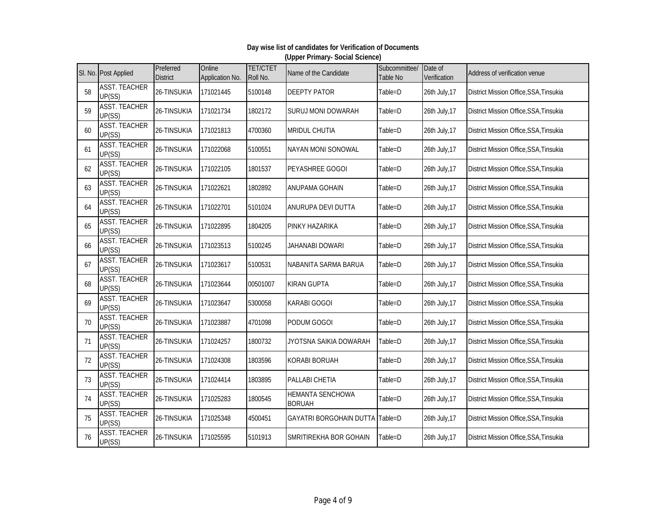|    | SI. No. Post Applied           | Preferred<br><b>District</b> | Online<br>Application No. | <b>TET/CTET</b><br>Roll No. | Name of the Candidate                    | Subcommittee/<br>Table No | Date of<br>Verification | Address of verification venue          |
|----|--------------------------------|------------------------------|---------------------------|-----------------------------|------------------------------------------|---------------------------|-------------------------|----------------------------------------|
| 58 | <b>ASST. TEACHER</b><br>UP(SS) | 26-TINSUKIA                  | 171021445                 | 5100148                     | <b>DEEPTY PATOR</b>                      | Table=D                   | 26th July, 17           | District Mission Office, SSA, Tinsukia |
| 59 | <b>ASST. TEACHER</b><br>UP(SS) | 26-TINSUKIA                  | 171021734                 | 1802172                     | SURUJ MONI DOWARAH                       | Table=D                   | 26th July, 17           | District Mission Office, SSA, Tinsukia |
| 60 | <b>ASST. TEACHER</b><br>UP(SS) | 26-TINSUKIA                  | 171021813                 | 4700360                     | <b>MRIDUL CHUTIA</b>                     | Table=D                   | 26th July, 17           | District Mission Office, SSA, Tinsukia |
| 61 | <b>ASST. TEACHER</b><br>UP(SS) | 26-TINSUKIA                  | 171022068                 | 5100551                     | <b>NAYAN MONI SONOWAL</b>                | Table=D                   | 26th July, 17           | District Mission Office, SSA, Tinsukia |
| 62 | <b>ASST. TEACHER</b><br>UP(SS) | 26-TINSUKIA                  | 171022105                 | 1801537                     | PEYASHREE GOGOI                          | Table=D                   | 26th July, 17           | District Mission Office, SSA, Tinsukia |
| 63 | <b>ASST. TEACHER</b><br>UP(SS) | 26-TINSUKIA                  | 171022621                 | 1802892                     | ANUPAMA GOHAIN                           | Table=D                   | 26th July, 17           | District Mission Office, SSA, Tinsukia |
| 64 | <b>ASST. TEACHER</b><br>UP(SS) | 26-TINSUKIA                  | 171022701                 | 5101024                     | ANURUPA DEVI DUTTA                       | Table=D                   | 26th July, 17           | District Mission Office, SSA, Tinsukia |
| 65 | <b>ASST. TEACHER</b><br>UP(SS) | 26-TINSUKIA                  | 171022895                 | 1804205                     | PINKY HAZARIKA                           | Table=D                   | 26th July, 17           | District Mission Office, SSA, Tinsukia |
| 66 | <b>ASST. TEACHER</b><br>UP(SS) | 26-TINSUKIA                  | 171023513                 | 5100245                     | <b>JAHANABI DOWARI</b>                   | Table=D                   | 26th July, 17           | District Mission Office, SSA, Tinsukia |
| 67 | <b>ASST. TEACHER</b><br>UP(SS) | 26-TINSUKIA                  | 171023617                 | 5100531                     | NABANITA SARMA BARUA                     | Table=D                   | 26th July, 17           | District Mission Office, SSA, Tinsukia |
| 68 | <b>ASST. TEACHER</b><br>UP(SS) | 26-TINSUKIA                  | 171023644                 | 00501007                    | <b>KIRAN GUPTA</b>                       | Table=D                   | 26th July, 17           | District Mission Office, SSA, Tinsukia |
| 69 | <b>ASST. TEACHER</b><br>UP(SS) | 26-TINSUKIA                  | 171023647                 | 5300058                     | <b>KARABI GOGOI</b>                      | Table=D                   | 26th July, 17           | District Mission Office, SSA, Tinsukia |
| 70 | <b>ASST. TEACHER</b><br>UP(SS) | 26-TINSUKIA                  | 171023887                 | 4701098                     | PODUM GOGOI                              | Table=D                   | 26th July, 17           | District Mission Office, SSA, Tinsukia |
| 71 | <b>ASST. TEACHER</b><br>UP(SS) | 26-TINSUKIA                  | 171024257                 | 1800732                     | JYOTSNA SAIKIA DOWARAH                   | Table=D                   | 26th July, 17           | District Mission Office, SSA, Tinsukia |
| 72 | <b>ASST. TEACHER</b><br>UP(SS) | 26-TINSUKIA                  | 171024308                 | 1803596                     | <b>KORABI BORUAH</b>                     | Table=D                   | 26th July, 17           | District Mission Office, SSA, Tinsukia |
| 73 | <b>ASST. TEACHER</b><br>UP(SS) | 26-TINSUKIA                  | 171024414                 | 1803895                     | PALLABI CHETIA                           | Table=D                   | 26th July, 17           | District Mission Office, SSA, Tinsukia |
| 74 | <b>ASST. TEACHER</b><br>UP(SS) | 26-TINSUKIA                  | 171025283                 | 1800545                     | <b>HEMANTA SENCHOWA</b><br><b>BORUAH</b> | Table=D                   | 26th July, 17           | District Mission Office, SSA, Tinsukia |
| 75 | <b>ASST. TEACHER</b><br>UP(SS) | 26-TINSUKIA                  | 171025348                 | 4500451                     | GAYATRI BORGOHAIN DUTTA Table=D          |                           | 26th July, 17           | District Mission Office, SSA, Tinsukia |
| 76 | <b>ASST. TEACHER</b><br>UP(SS) | 26-TINSUKIA                  | 171025595                 | 5101913                     | SMRITIREKHA BOR GOHAIN                   | Table=D                   | 26th July, 17           | District Mission Office, SSA, Tinsukia |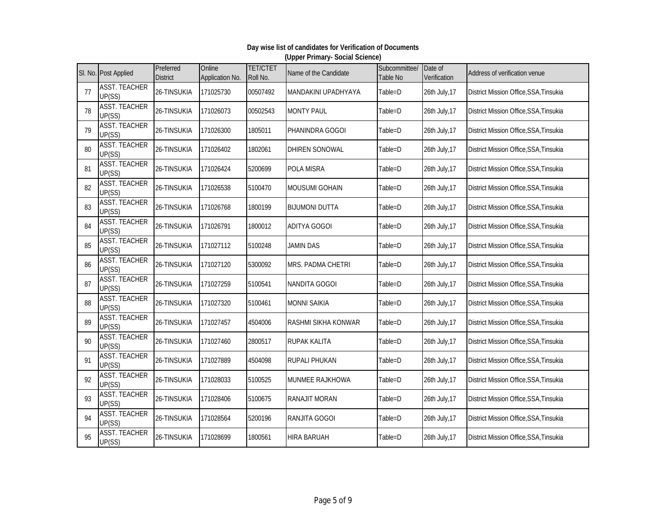#### SI. No. Post Applied Preferred **District Online** Application No. TET/CTET TET/CTET Name of the Candidate Subcommittee/<br>Roll No. Table No Table No Date of Date of **Address of verification venue** 77 ASST. TEACHER UP(SS) 26-TINSUKIA <sup>171025730</sup> <sup>00507492</sup> MANDAKINI UPADHYAYA Table=D 26th July,17 District Mission Office,SSA,Tinsukia 78 ASST. TEACHER UP(SS) 26-TINSUKIA <sup>171026073</sup> <sup>00502543</sup> MONTY PAUL Table=D 26th July,17 District Mission Office,SSA,Tinsukia 79 ASST. TEACHER NSST: LENSTENNEN 26-TINSUKIA 171026300 1805011 PHANINDRA-GOGOI Table=D 26th July,17 District Mission Office,SSA,Tinsukia<br>UP(SS) 80 **ASST. TEACHER** UP(SS) 26-TINSUKIA <sup>171026402</sup> <sup>1802061</sup> DHIREN SONOWAL Table=D 26th July,17 District Mission Office,SSA,Tinsukia 81 ASST. TEACHER 26-TINSUKIA 171026424 15200699 POLA MISRA Table=D 26th July,17 District Mission Office,SSA,Tinsukia 82 ASST. TEACHER UP(SS) 26-TINSUKIA <sup>171026538</sup> <sup>5100470</sup> MOUSUMI GOHAIN Table=D 26th July,17 District Mission Office,SSA,Tinsukia 83 ASST. TEACHER UP(SS) 26-TINSUKIA <sup>171026768</sup> <sup>1800199</sup> BIJUMONI DUTTA Table=D 26th July,17 District Mission Office,SSA,Tinsukia 84 ASST. TEACHER NUSI: LENUTLEN 26-TINSUKIA 171026791 1800012 ADITYA GOGOI Table=D 26th July,17 District Mission Office,SSA,Tinsukia<br>UP(SS) 85 **ASST. TEACHER** UP(SS) 26-TINSUKIA <sup>171027112</sup> <sup>5100248</sup> JAMIN DAS Table=D 26th July,17 District Mission Office,SSA,Tinsukia 86 ASST. TEACHER UP(SS) 26-TINSUKIA <sup>171027120</sup> <sup>5300092</sup> MRS. PADMA CHETRI Table=D 26th July,17 District Mission Office,SSA,Tinsukia 87 ASST. TEACHER UP(SS) 26-TINSUKIA <sup>171027259</sup> <sup>5100541</sup> NANDITA GOGOI Table=D 26th July,17 District Mission Office,SSA,Tinsukia 88 ASST. TEACHER UP(SS) 26-TINSUKIA <sup>171027320</sup> <sup>5100461</sup> MONNI SAIKIA Table=D 26th July,17 District Mission Office,SSA,Tinsukia 89 ASST. TEACHER<br>UP(SS) NUST: LENUTLEN 26-TINSUKIA 171027457 4504006 RASHMI SIKHA KONWAR Table=D 26th July,17 District Mission Office,SSA,Tinsukia<br>UP(SS) 90 ASST. TEACHER UP(SS) 26-TINSUKIA <sup>171027460</sup> <sup>2800517</sup> RUPAK KALITA Table=D 26th July,17 District Mission Office,SSA,Tinsukia 91 ASST. TEACHER UP(SS) 26-TINSUKIA <sup>171027889</sup> <sup>4504098</sup> RUPALI PHUKAN Table=D 26th July,17 District Mission Office,SSA,Tinsukia 92 ASST. TEACHER UP(SS) 26-TINSUKIA <sup>171028033</sup> <sup>5100525</sup> MUNMEE RAJKHOWA Table=D 26th July,17 District Mission Office,SSA,Tinsukia 93 ASST. TEACHER UP(SS) 26-TINSUKIA <sup>171028406</sup> <sup>5100675</sup> RANAJIT MORAN Table=D 26th July,17 District Mission Office,SSA,Tinsukia 94 ASST. TEACHER NSST: LENSTEN 26-TINSUKIA 171028564 5200196 RANJITA GOGOI Table=D 26th July,17 District Mission Office,SSA,Tinsukia<br>UP(SS) 95 ASST. TEACHER UP(SS) 26-TINSUKIA <sup>171028699</sup> <sup>1800561</sup> HIRA BARUAH Table=D 26th July,17 District Mission Office,SSA,Tinsukia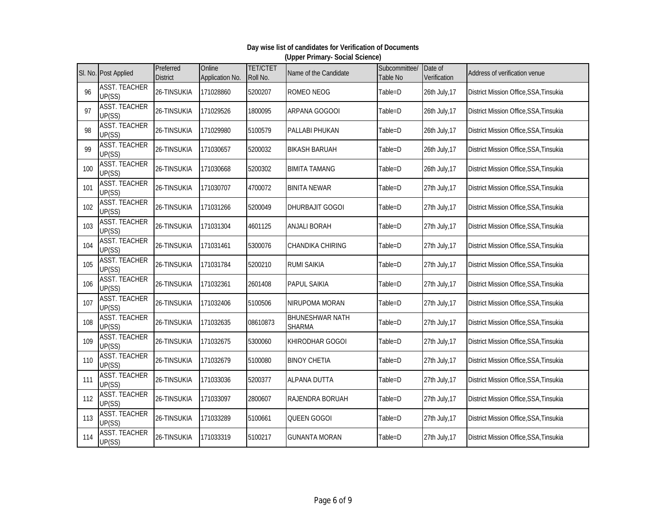|     | SI. No. Post Applied           | Preferred<br><b>District</b> | Online<br>Application No. | <b>TET/CTET</b><br>Roll No. | Name of the Candidate                   | Subcommittee/<br>Table No | Date of<br>Verification | Address of verification venue          |
|-----|--------------------------------|------------------------------|---------------------------|-----------------------------|-----------------------------------------|---------------------------|-------------------------|----------------------------------------|
| 96  | <b>ASST. TEACHER</b><br>UP(SS) | 26-TINSUKIA                  | 171028860                 | 5200207                     | ROMEO NEOG                              | Table=D                   | 26th July, 17           | District Mission Office, SSA, Tinsukia |
| 97  | <b>ASST. TEACHER</b><br>UP(SS) | 26-TINSUKIA                  | 171029526                 | 1800095                     | ARPANA GOGOOI                           | Table=D                   | 26th July, 17           | District Mission Office, SSA, Tinsukia |
| 98  | <b>ASST. TEACHER</b><br>UP(SS) | 26-TINSUKIA                  | 171029980                 | 5100579                     | PALLABI PHUKAN                          | Table=D                   | 26th July, 17           | District Mission Office, SSA, Tinsukia |
| 99  | <b>ASST. TEACHER</b><br>UP(SS) | 26-TINSUKIA                  | 171030657                 | 5200032                     | <b>BIKASH BARUAH</b>                    | Table=D                   | 26th July, 17           | District Mission Office, SSA, Tinsukia |
| 100 | <b>ASST. TEACHER</b><br>UP(SS) | 26-TINSUKIA                  | 171030668                 | 5200302                     | <b>BIMITA TAMANG</b>                    | Table=D                   | 26th July, 17           | District Mission Office, SSA, Tinsukia |
| 101 | <b>ASST. TEACHER</b><br>UP(SS) | 26-TINSUKIA                  | 171030707                 | 4700072                     | <b>BINITA NEWAR</b>                     | Table=D                   | 27th July, 17           | District Mission Office, SSA, Tinsukia |
| 102 | <b>ASST. TEACHER</b><br>UP(SS) | 26-TINSUKIA                  | 171031266                 | 5200049                     | DHURBAJIT GOGOI                         | Table=D                   | 27th July, 17           | District Mission Office, SSA, Tinsukia |
| 103 | <b>ASST. TEACHER</b><br>UP(SS) | 26-TINSUKIA                  | 171031304                 | 4601125                     | <b>ANJALI BORAH</b>                     | Table=D                   | 27th July, 17           | District Mission Office, SSA, Tinsukia |
| 104 | <b>ASST. TEACHER</b><br>UP(SS) | 26-TINSUKIA                  | 171031461                 | 5300076                     | CHANDIKA CHIRING                        | Table=D                   | 27th July, 17           | District Mission Office, SSA, Tinsukia |
| 105 | <b>ASST. TEACHER</b><br>UP(SS) | 26-TINSUKIA                  | 171031784                 | 5200210                     | <b>RUMI SAIKIA</b>                      | Table=D                   | 27th July, 17           | District Mission Office, SSA, Tinsukia |
| 106 | <b>ASST. TEACHER</b><br>UP(SS) | 26-TINSUKIA                  | 171032361                 | 2601408                     | <b>PAPUL SAIKIA</b>                     | Table=D                   | 27th July, 17           | District Mission Office, SSA, Tinsukia |
| 107 | <b>ASST. TEACHER</b><br>UP(SS) | 26-TINSUKIA                  | 171032406                 | 5100506                     | NIRUPOMA MORAN                          | Table=D                   | 27th July, 17           | District Mission Office, SSA, Tinsukia |
| 108 | <b>ASST. TEACHER</b><br>UP(SS) | 26-TINSUKIA                  | 171032635                 | 08610873                    | <b>BHUNESHWAR NATH</b><br><b>SHARMA</b> | Table=D                   | 27th July, 17           | District Mission Office, SSA, Tinsukia |
| 109 | <b>ASST. TEACHER</b><br>UP(SS) | 26-TINSUKIA                  | 171032675                 | 5300060                     | <b>KHIRODHAR GOGOI</b>                  | Table=D                   | 27th July, 17           | District Mission Office, SSA, Tinsukia |
| 110 | <b>ASST. TEACHER</b><br>UP(SS) | 26-TINSUKIA                  | 171032679                 | 5100080                     | <b>BINOY CHETIA</b>                     | Table=D                   | 27th July, 17           | District Mission Office, SSA, Tinsukia |
| 111 | <b>ASST. TEACHER</b><br>UP(SS) | 26-TINSUKIA                  | 171033036                 | 5200377                     | <b>ALPANA DUTTA</b>                     | Table=D                   | 27th July, 17           | District Mission Office, SSA, Tinsukia |
| 112 | <b>ASST. TEACHER</b><br>UP(SS) | 26-TINSUKIA                  | 171033097                 | 2800607                     | RAJENDRA BORUAH                         | Table=D                   | 27th July, 17           | District Mission Office, SSA, Tinsukia |
| 113 | <b>ASST. TEACHER</b><br>UP(SS) | 26-TINSUKIA                  | 171033289                 | 5100661                     | QUEEN GOGOI                             | Table=D                   | 27th July, 17           | District Mission Office, SSA, Tinsukia |
| 114 | <b>ASST. TEACHER</b><br>UP(SS) | 26-TINSUKIA                  | 171033319                 | 5100217                     | <b>GUNANTA MORAN</b>                    | Table=D                   | 27th July, 17           | District Mission Office, SSA, Tinsukia |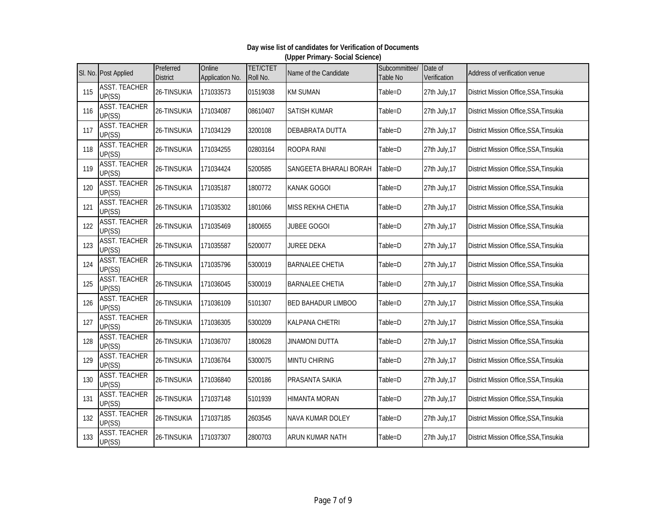|     | SI. No. Post Applied           | Preferred<br><b>District</b> | Online<br>Application No. | <b>TET/CTET</b><br>Roll No. | Name of the Candidate     | Subcommittee/<br>Table No | Date of<br>Verification | Address of verification venue          |
|-----|--------------------------------|------------------------------|---------------------------|-----------------------------|---------------------------|---------------------------|-------------------------|----------------------------------------|
| 115 | <b>ASST. TEACHER</b><br>UP(SS) | 26-TINSUKIA                  | 171033573                 | 01519038                    | <b>KM SUMAN</b>           | Table=D                   | 27th July, 17           | District Mission Office, SSA, Tinsukia |
| 116 | <b>ASST. TEACHER</b><br>UP(SS) | 26-TINSUKIA                  | 171034087                 | 08610407                    | <b>SATISH KUMAR</b>       | Table=D                   | 27th July, 17           | District Mission Office, SSA, Tinsukia |
| 117 | <b>ASST. TEACHER</b><br>UP(SS) | 26-TINSUKIA                  | 171034129                 | 3200108                     | DEBABRATA DUTTA           | Table=D                   | 27th July, 17           | District Mission Office, SSA, Tinsukia |
| 118 | <b>ASST. TEACHER</b><br>UP(SS) | 26-TINSUKIA                  | 171034255                 | 02803164                    | <b>ROOPA RANI</b>         | Table=D                   | 27th July, 17           | District Mission Office, SSA, Tinsukia |
| 119 | <b>ASST. TEACHER</b><br>UP(SS) | 26-TINSUKIA                  | 171034424                 | 5200585                     | SANGEETA BHARALI BORAH    | Table=D                   | 27th July, 17           | District Mission Office, SSA, Tinsukia |
| 120 | <b>ASST. TEACHER</b><br>UP(SS) | 26-TINSUKIA                  | 171035187                 | 1800772                     | <b>KANAK GOGOI</b>        | Table=D                   | 27th July, 17           | District Mission Office, SSA, Tinsukia |
| 121 | <b>ASST. TEACHER</b><br>UP(SS) | 26-TINSUKIA                  | 171035302                 | 1801066                     | <b>MISS REKHA CHETIA</b>  | Table=D                   | 27th July, 17           | District Mission Office, SSA, Tinsukia |
| 122 | <b>ASST. TEACHER</b><br>UP(SS) | 26-TINSUKIA                  | 171035469                 | 1800655                     | <b>JUBEE GOGOI</b>        | Table=D                   | 27th July, 17           | District Mission Office, SSA, Tinsukia |
| 123 | <b>ASST. TEACHER</b><br>UP(SS) | 26-TINSUKIA                  | 171035587                 | 5200077                     | <b>JUREE DEKA</b>         | Table=D                   | 27th July, 17           | District Mission Office, SSA, Tinsukia |
| 124 | <b>ASST. TEACHER</b><br>UP(SS) | 26-TINSUKIA                  | 171035796                 | 5300019                     | <b>BARNALEE CHETIA</b>    | Table=D                   | 27th July, 17           | District Mission Office, SSA, Tinsukia |
| 125 | <b>ASST. TEACHER</b><br>UP(SS) | 26-TINSUKIA                  | 171036045                 | 5300019                     | <b>BARNALEE CHETIA</b>    | Table=D                   | 27th July, 17           | District Mission Office, SSA, Tinsukia |
| 126 | <b>ASST. TEACHER</b><br>UP(SS) | 26-TINSUKIA                  | 171036109                 | 5101307                     | <b>BED BAHADUR LIMBOO</b> | Table=D                   | 27th July, 17           | District Mission Office, SSA, Tinsukia |
| 127 | <b>ASST. TEACHER</b><br>UP(SS) | 26-TINSUKIA                  | 171036305                 | 5300209                     | <b>KALPANA CHETRI</b>     | Table=D                   | 27th July, 17           | District Mission Office, SSA, Tinsukia |
| 128 | <b>ASST. TEACHER</b><br>UP(SS) | 26-TINSUKIA                  | 171036707                 | 1800628                     | <b>JINAMONI DUTTA</b>     | Table=D                   | 27th July, 17           | District Mission Office, SSA, Tinsukia |
| 129 | <b>ASST. TEACHER</b><br>UP(SS) | 26-TINSUKIA                  | 171036764                 | 5300075                     | <b>MINTU CHIRING</b>      | Table=D                   | 27th July, 17           | District Mission Office, SSA, Tinsukia |
| 130 | <b>ASST. TEACHER</b><br>UP(SS) | 26-TINSUKIA                  | 171036840                 | 5200186                     | PRASANTA SAIKIA           | Table=D                   | 27th July, 17           | District Mission Office, SSA, Tinsukia |
| 131 | <b>ASST. TEACHER</b><br>UP(SS) | 26-TINSUKIA                  | 171037148                 | 5101939                     | <b>HIMANTA MORAN</b>      | Table=D                   | 27th July, 17           | District Mission Office, SSA, Tinsukia |
| 132 | <b>ASST. TEACHER</b><br>UP(SS) | 26-TINSUKIA                  | 171037185                 | 2603545                     | <b>NAVA KUMAR DOLEY</b>   | Table=D                   | 27th July, 17           | District Mission Office, SSA, Tinsukia |
| 133 | <b>ASST. TEACHER</b><br>UP(SS) | 26-TINSUKIA                  | 171037307                 | 2800703                     | <b>ARUN KUMAR NATH</b>    | Table=D                   | 27th July, 17           | District Mission Office, SSA, Tinsukia |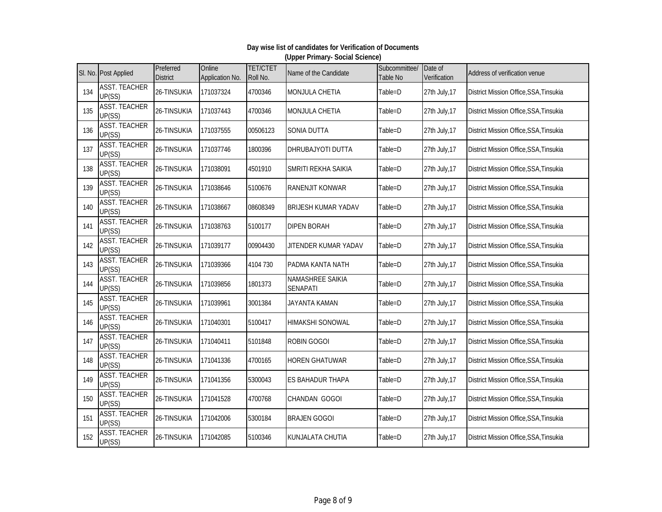|     | SI. No. Post Applied           | Preferred<br><b>District</b> | Online<br>Application No. | <b>TET/CTET</b><br>Roll No. | Name of the Candidate        | Subcommittee/<br>Table No | Date of<br>Verification | Address of verification venue          |
|-----|--------------------------------|------------------------------|---------------------------|-----------------------------|------------------------------|---------------------------|-------------------------|----------------------------------------|
| 134 | <b>ASST. TEACHER</b><br>UP(SS) | 26-TINSUKIA                  | 171037324                 | 4700346                     | <b>MONJULA CHETIA</b>        | Table=D                   | 27th July, 17           | District Mission Office, SSA, Tinsukia |
| 135 | <b>ASST. TEACHER</b><br>UP(SS) | 26-TINSUKIA                  | 171037443                 | 4700346                     | <b>MONJULA CHETIA</b>        | Table=D                   | 27th July, 17           | District Mission Office, SSA, Tinsukia |
| 136 | <b>ASST. TEACHER</b><br>UP(SS) | 26-TINSUKIA                  | 171037555                 | 00506123                    | SONIA DUTTA                  | Table=D                   | 27th July, 17           | District Mission Office, SSA, Tinsukia |
| 137 | <b>ASST. TEACHER</b><br>UP(SS) | 26-TINSUKIA                  | 171037746                 | 1800396                     | DHRUBAJYOTI DUTTA            | Table=D                   | 27th July, 17           | District Mission Office, SSA, Tinsukia |
| 138 | <b>ASST. TEACHER</b><br>UP(SS) | 26-TINSUKIA                  | 171038091                 | 4501910                     | SMRITI REKHA SAIKIA          | Table=D                   | 27th July, 17           | District Mission Office, SSA, Tinsukia |
| 139 | <b>ASST. TEACHER</b><br>UP(SS) | 26-TINSUKIA                  | 171038646                 | 5100676                     | RANENJIT KONWAR              | Table=D                   | 27th July, 17           | District Mission Office, SSA, Tinsukia |
| 140 | <b>ASST. TEACHER</b><br>UP(SS) | 26-TINSUKIA                  | 171038667                 | 08608349                    | <b>BRIJESH KUMAR YADAV</b>   | Table=D                   | 27th July, 17           | District Mission Office, SSA, Tinsukia |
| 141 | <b>ASST. TEACHER</b><br>UP(SS) | 26-TINSUKIA                  | 171038763                 | 5100177                     | <b>DIPEN BORAH</b>           | Table=D                   | 27th July, 17           | District Mission Office, SSA, Tinsukia |
| 142 | <b>ASST. TEACHER</b><br>UP(SS) | 26-TINSUKIA                  | 171039177                 | 00904430                    | JITENDER KUMAR YADAV         | Table=D                   | 27th July, 17           | District Mission Office, SSA, Tinsukia |
| 143 | <b>ASST. TEACHER</b><br>UP(SS) | 26-TINSUKIA                  | 171039366                 | 4104 730                    | PADMA KANTA NATH             | Table=D                   | 27th July, 17           | District Mission Office, SSA, Tinsukia |
| 144 | <b>ASST. TEACHER</b><br>UP(SS) | 26-TINSUKIA                  | 171039856                 | 1801373                     | NAMASHREE SAIKIA<br>SENAPATI | Table=D                   | 27th July, 17           | District Mission Office, SSA, Tinsukia |
| 145 | <b>ASST. TEACHER</b><br>UP(SS) | 26-TINSUKIA                  | 171039961                 | 3001384                     | JAYANTA KAMAN                | Table=D                   | 27th July, 17           | District Mission Office, SSA, Tinsukia |
| 146 | <b>ASST. TEACHER</b><br>UP(SS) | 26-TINSUKIA                  | 171040301                 | 5100417                     | <b>HIMAKSHI SONOWAL</b>      | Table=D                   | 27th July, 17           | District Mission Office, SSA, Tinsukia |
| 147 | <b>ASST. TEACHER</b><br>UP(SS) | 26-TINSUKIA                  | 171040411                 | 5101848                     | <b>ROBIN GOGOI</b>           | Table=D                   | 27th July, 17           | District Mission Office, SSA, Tinsukia |
| 148 | <b>ASST. TEACHER</b><br>UP(SS) | 26-TINSUKIA                  | 171041336                 | 4700165                     | <b>HOREN GHATUWAR</b>        | Table=D                   | 27th July, 17           | District Mission Office, SSA, Tinsukia |
| 149 | <b>ASST. TEACHER</b><br>UP(SS) | 26-TINSUKIA                  | 171041356                 | 5300043                     | ES BAHADUR THAPA             | Table=D                   | 27th July, 17           | District Mission Office, SSA, Tinsukia |
| 150 | <b>ASST. TEACHER</b><br>UP(SS) | 26-TINSUKIA                  | 171041528                 | 4700768                     | <b>CHANDAN GOGOI</b>         | Table=D                   | 27th July, 17           | District Mission Office, SSA, Tinsukia |
| 151 | <b>ASST. TEACHER</b><br>UP(SS) | 26-TINSUKIA                  | 171042006                 | 5300184                     | <b>BRAJEN GOGOI</b>          | Table=D                   | 27th July, 17           | District Mission Office, SSA, Tinsukia |
| 152 | <b>ASST. TEACHER</b><br>UP(SS) | 26-TINSUKIA                  | 171042085                 | 5100346                     | KUNJALATA CHUTIA             | Table=D                   | 27th July, 17           | District Mission Office, SSA, Tinsukia |